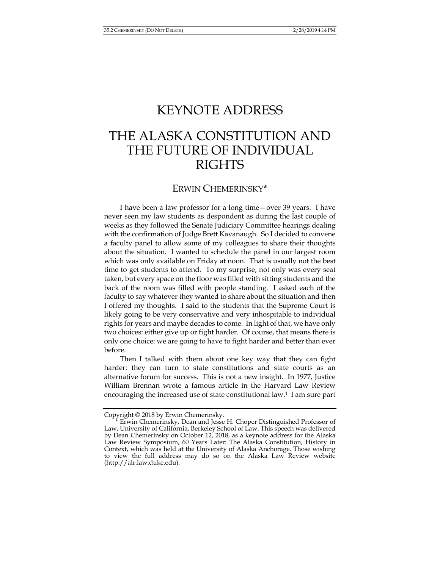## KEYNOTE ADDRESS

## THE ALASKA CONSTITUTION AND THE FUTURE OF INDIVIDUAL **RIGHTS**

## ERWIN CHEMERINSKY\*

I have been a law professor for a long time—over 39 years. I have never seen my law students as despondent as during the last couple of weeks as they followed the Senate Judiciary Committee hearings dealing with the confirmation of Judge Brett Kavanaugh. So I decided to convene a faculty panel to allow some of my colleagues to share their thoughts about the situation. I wanted to schedule the panel in our largest room which was only available on Friday at noon. That is usually not the best time to get students to attend. To my surprise, not only was every seat taken, but every space on the floor was filled with sitting students and the back of the room was filled with people standing. I asked each of the faculty to say whatever they wanted to share about the situation and then I offered my thoughts. I said to the students that the Supreme Court is likely going to be very conservative and very inhospitable to individual rights for years and maybe decades to come. In light of that, we have only two choices: either give up or fight harder. Of course, that means there is only one choice: we are going to have to fight harder and better than ever before.

Then I talked with them about one key way that they can fight harder: they can turn to state constitutions and state courts as an alternative forum for success. This is not a new insight. In 1977, Justice William Brennan wrote a famous article in the Harvard Law Review encouraging the increased use of state constitutional law.1 I am sure part

Copyright © 2018 by Erwin Chemerinsky.

Erwin Chemerinsky, Dean and Jesse H. Choper Distinguished Professor of Law, University of California, Berkeley School of Law. This speech was delivered by Dean Chemerinsky on October 12, 2018, as a keynote address for the Alaska Law Review Symposium, 60 Years Later: The Alaska Constitution, History in Context, which was held at the University of Alaska Anchorage. Those wishing to view the full address may do so on the Alaska Law Review website (http://alr.law.duke.edu).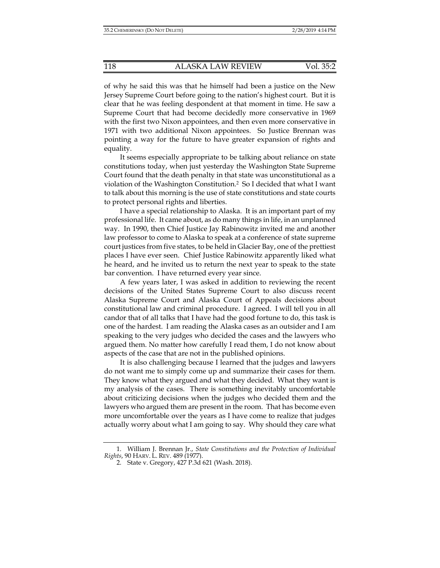of why he said this was that he himself had been a justice on the New Jersey Supreme Court before going to the nation's highest court. But it is clear that he was feeling despondent at that moment in time. He saw a Supreme Court that had become decidedly more conservative in 1969 with the first two Nixon appointees, and then even more conservative in 1971 with two additional Nixon appointees. So Justice Brennan was pointing a way for the future to have greater expansion of rights and equality.

It seems especially appropriate to be talking about reliance on state constitutions today, when just yesterday the Washington State Supreme Court found that the death penalty in that state was unconstitutional as a violation of the Washington Constitution.2 So I decided that what I want to talk about this morning is the use of state constitutions and state courts to protect personal rights and liberties.

I have a special relationship to Alaska. It is an important part of my professional life. It came about, as do many things in life, in an unplanned way. In 1990, then Chief Justice Jay Rabinowitz invited me and another law professor to come to Alaska to speak at a conference of state supreme court justices from five states, to be held in Glacier Bay, one of the prettiest places I have ever seen. Chief Justice Rabinowitz apparently liked what he heard, and he invited us to return the next year to speak to the state bar convention. I have returned every year since.

A few years later, I was asked in addition to reviewing the recent decisions of the United States Supreme Court to also discuss recent Alaska Supreme Court and Alaska Court of Appeals decisions about constitutional law and criminal procedure. I agreed. I will tell you in all candor that of all talks that I have had the good fortune to do, this task is one of the hardest. I am reading the Alaska cases as an outsider and I am speaking to the very judges who decided the cases and the lawyers who argued them. No matter how carefully I read them, I do not know about aspects of the case that are not in the published opinions.

It is also challenging because I learned that the judges and lawyers do not want me to simply come up and summarize their cases for them. They know what they argued and what they decided. What they want is my analysis of the cases. There is something inevitably uncomfortable about criticizing decisions when the judges who decided them and the lawyers who argued them are present in the room. That has become even more uncomfortable over the years as I have come to realize that judges actually worry about what I am going to say. Why should they care what

 <sup>1.</sup> William J. Brennan Jr., *State Constitutions and the Protection of Individual Rights*, 90 HARV. L. REV. 489 (1977).

 <sup>2.</sup> State v. Gregory, 427 P.3d 621 (Wash. 2018).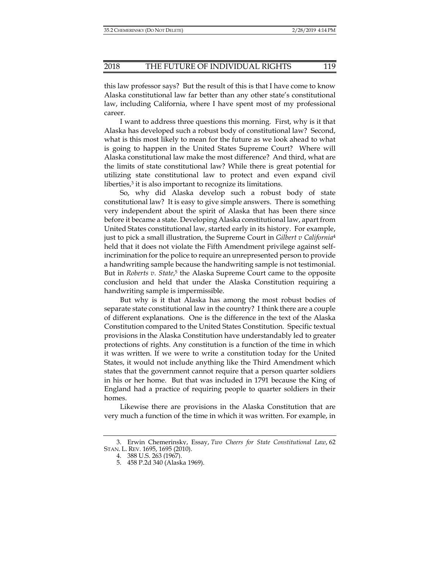this law professor says? But the result of this is that I have come to know Alaska constitutional law far better than any other state's constitutional law, including California, where I have spent most of my professional career.

I want to address three questions this morning. First, why is it that Alaska has developed such a robust body of constitutional law? Second, what is this most likely to mean for the future as we look ahead to what is going to happen in the United States Supreme Court? Where will Alaska constitutional law make the most difference? And third, what are the limits of state constitutional law? While there is great potential for utilizing state constitutional law to protect and even expand civil liberties,<sup>3</sup> it is also important to recognize its limitations.

So, why did Alaska develop such a robust body of state constitutional law? It is easy to give simple answers. There is something very independent about the spirit of Alaska that has been there since before it became a state. Developing Alaska constitutional law, apart from United States constitutional law, started early in its history. For example, just to pick a small illustration, the Supreme Court in *Gilbert v California*<sup>4</sup> held that it does not violate the Fifth Amendment privilege against selfincrimination for the police to require an unrepresented person to provide a handwriting sample because the handwriting sample is not testimonial. But in *Roberts v. State*, 5 the Alaska Supreme Court came to the opposite conclusion and held that under the Alaska Constitution requiring a handwriting sample is impermissible.

But why is it that Alaska has among the most robust bodies of separate state constitutional law in the country? I think there are a couple of different explanations. One is the difference in the text of the Alaska Constitution compared to the United States Constitution. Specific textual provisions in the Alaska Constitution have understandably led to greater protections of rights. Any constitution is a function of the time in which it was written. If we were to write a constitution today for the United States, it would not include anything like the Third Amendment which states that the government cannot require that a person quarter soldiers in his or her home. But that was included in 1791 because the King of England had a practice of requiring people to quarter soldiers in their homes.

Likewise there are provisions in the Alaska Constitution that are very much a function of the time in which it was written. For example, in

 <sup>3.</sup> Erwin Chemerinsky, Essay, *Two Cheers for State Constitutional Law*, 62 STAN. L. REV. 1695, 1695 (2010).

 <sup>4. 388</sup> U.S. 263 (1967).

 <sup>5. 458</sup> P.2d 340 (Alaska 1969).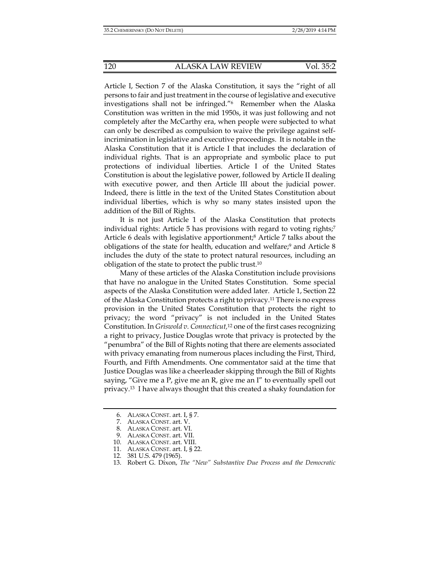Article I, Section 7 of the Alaska Constitution, it says the "right of all persons to fair and just treatment in the course of legislative and executive investigations shall not be infringed."6 Remember when the Alaska Constitution was written in the mid 1950s, it was just following and not completely after the McCarthy era, when people were subjected to what can only be described as compulsion to waive the privilege against selfincrimination in legislative and executive proceedings. It is notable in the Alaska Constitution that it is Article I that includes the declaration of individual rights. That is an appropriate and symbolic place to put protections of individual liberties. Article I of the United States Constitution is about the legislative power, followed by Article II dealing with executive power, and then Article III about the judicial power. Indeed, there is little in the text of the United States Constitution about individual liberties, which is why so many states insisted upon the addition of the Bill of Rights.

It is not just Article 1 of the Alaska Constitution that protects individual rights: Article 5 has provisions with regard to voting rights;<sup>7</sup> Article 6 deals with legislative apportionment;<sup>8</sup> Article 7 talks about the obligations of the state for health, education and welfare;9 and Article 8 includes the duty of the state to protect natural resources, including an obligation of the state to protect the public trust.10

Many of these articles of the Alaska Constitution include provisions that have no analogue in the United States Constitution. Some special aspects of the Alaska Constitution were added later. Article 1, Section 22 of the Alaska Constitution protects a right to privacy.11 There is no express provision in the United States Constitution that protects the right to privacy; the word "privacy" is not included in the United States Constitution. In *Griswold v. Connecticut,*12 one of the first cases recognizing a right to privacy, Justice Douglas wrote that privacy is protected by the "penumbra" of the Bill of Rights noting that there are elements associated with privacy emanating from numerous places including the First, Third, Fourth, and Fifth Amendments. One commentator said at the time that Justice Douglas was like a cheerleader skipping through the Bill of Rights saying, "Give me a P, give me an R, give me an I" to eventually spell out privacy.13 I have always thought that this created a shaky foundation for

 <sup>6.</sup> ALASKA CONST. art. I, § 7.

 <sup>7.</sup> ALASKA CONST. art. V.

 <sup>8.</sup> ALASKA CONST. art. VI.

 <sup>9.</sup> ALASKA CONST. art. VII.

 <sup>10.</sup> ALASKA CONST. art. VIII.

 <sup>11.</sup> ALASKA CONST. art. I, § 22.

 <sup>12. 381</sup> U.S. 479 (1965).

 <sup>13.</sup> Robert G. Dixon, *The "New" Substantive Due Process and the Democratic*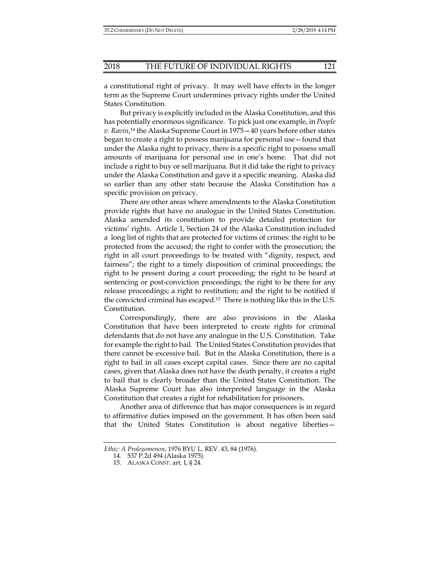a constitutional right of privacy. It may well have effects in the longer term as the Supreme Court undermines privacy rights under the United States Constitution.

But privacy is explicitly included in the Alaska Constitution, and this has potentially enormous significance. To pick just one example, in *People v. Ravin*, 14 the Alaska Supreme Court in 1975—40 years before other states began to create a right to possess marijuana for personal use—found that under the Alaska right to privacy, there is a specific right to possess small amounts of marijuana for personal use in one's home. That did not include a right to buy or sell marijuana. But it did take the right to privacy under the Alaska Constitution and gave it a specific meaning. Alaska did so earlier than any other state because the Alaska Constitution has a specific provision on privacy.

There are other areas where amendments to the Alaska Constitution provide rights that have no analogue in the United States Constitution. Alaska amended its constitution to provide detailed protection for victims' rights. Article 1, Section 24 of the Alaska Constitution included a long list of rights that are protected for victims of crimes: the right to be protected from the accused; the right to confer with the prosecution; the right in all court proceedings to be treated with "dignity, respect, and fairness"; the right to a timely disposition of criminal proceedings; the right to be present during a court proceeding; the right to be heard at sentencing or post-conviction proceedings; the right to be there for any release proceedings; a right to restitution; and the right to be notified if the convicted criminal has escaped.15 There is nothing like this in the U.S. Constitution.

Correspondingly, there are also provisions in the Alaska Constitution that have been interpreted to create rights for criminal defendants that do not have any analogue in the U.S. Constitution. Take for example the right to bail. The United States Constitution provides that there cannot be excessive bail. But in the Alaska Constitution, there is a right to bail in all cases except capital cases. Since there are no capital cases, given that Alaska does not have the death penalty, it creates a right to bail that is clearly broader than the United States Constitution. The Alaska Supreme Court has also interpreted language in the Alaska Constitution that creates a right for rehabilitation for prisoners.

Another area of difference that has major consequences is in regard to affirmative duties imposed on the government. It has often been said that the United States Constitution is about negative liberties—

*Ethic: A Prolegomenon*, 1976 BYU L. REV. 43, 84 (1976).

 <sup>14. 537</sup> P.2d 494 (Alaska 1975).

 <sup>15.</sup> ALASKA CONST. art. I, § 24.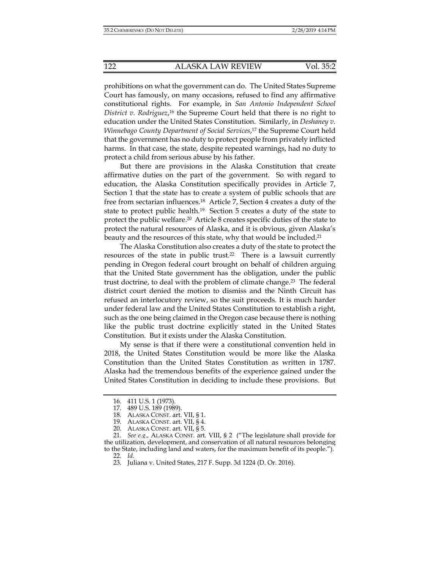prohibitions on what the government can do. The United States Supreme Court has famously, on many occasions, refused to find any affirmative constitutional rights. For example, in *San Antonio Independent School*  District v. Rodriguez,<sup>16</sup> the Supreme Court held that there is no right to education under the United States Constitution. Similarly, in *Deshaney v. Winnebago County Department of Social Services*, 17 the Supreme Court held that the government has no duty to protect people from privately inflicted harms. In that case, the state, despite repeated warnings, had no duty to protect a child from serious abuse by his father.

But there are provisions in the Alaska Constitution that create affirmative duties on the part of the government. So with regard to education, the Alaska Constitution specifically provides in Article 7, Section 1 that the state has to create a system of public schools that are free from sectarian influences.<sup>18</sup> Article 7, Section 4 creates a duty of the state to protect public health.<sup>19</sup> Section 5 creates a duty of the state to protect the public welfare.20 Article 8 creates specific duties of the state to protect the natural resources of Alaska, and it is obvious, given Alaska's beauty and the resources of this state, why that would be included.<sup>21</sup>

The Alaska Constitution also creates a duty of the state to protect the resources of the state in public trust.22 There is a lawsuit currently pending in Oregon federal court brought on behalf of children arguing that the United State government has the obligation, under the public trust doctrine, to deal with the problem of climate change.23 The federal district court denied the motion to dismiss and the Ninth Circuit has refused an interlocutory review, so the suit proceeds. It is much harder under federal law and the United States Constitution to establish a right, such as the one being claimed in the Oregon case because there is nothing like the public trust doctrine explicitly stated in the United States Constitution. But it exists under the Alaska Constitution.

My sense is that if there were a constitutional convention held in 2018, the United States Constitution would be more like the Alaska Constitution than the United States Constitution as written in 1787. Alaska had the tremendous benefits of the experience gained under the United States Constitution in deciding to include these provisions. But

 <sup>16. 411</sup> U.S. 1 (1973).

 <sup>17. 489</sup> U.S. 189 (1989).

 <sup>18.</sup> ALASKA CONST. art. VII, § 1.

 <sup>19.</sup> ALASKA CONST. art. VII, § 4.

 <sup>20.</sup> ALASKA CONST. art. VII, § 5.

 <sup>21.</sup> *See e.g.*, ALASKA CONST. art. VIII, § 2 ("The legislature shall provide for the utilization, development, and conservation of all natural resources belonging to the State, including land and waters, for the maximum benefit of its people."). 22. *Id.*

 <sup>23.</sup> Juliana v. United States, 217 F. Supp. 3d 1224 (D. Or. 2016).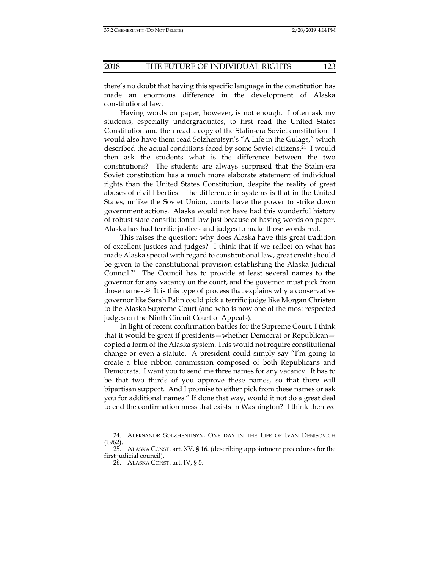there's no doubt that having this specific language in the constitution has made an enormous difference in the development of Alaska constitutional law.

Having words on paper, however, is not enough. I often ask my students, especially undergraduates, to first read the United States Constitution and then read a copy of the Stalin-era Soviet constitution. I would also have them read Solzhenitsyn's "A Life in the Gulags," which described the actual conditions faced by some Soviet citizens.24 I would then ask the students what is the difference between the two constitutions? The students are always surprised that the Stalin-era Soviet constitution has a much more elaborate statement of individual rights than the United States Constitution, despite the reality of great abuses of civil liberties. The difference in systems is that in the United States, unlike the Soviet Union, courts have the power to strike down government actions. Alaska would not have had this wonderful history of robust state constitutional law just because of having words on paper. Alaska has had terrific justices and judges to make those words real.

This raises the question: why does Alaska have this great tradition of excellent justices and judges? I think that if we reflect on what has made Alaska special with regard to constitutional law, great credit should be given to the constitutional provision establishing the Alaska Judicial Council.25 The Council has to provide at least several names to the governor for any vacancy on the court, and the governor must pick from those names.26 It is this type of process that explains why a conservative governor like Sarah Palin could pick a terrific judge like Morgan Christen to the Alaska Supreme Court (and who is now one of the most respected judges on the Ninth Circuit Court of Appeals).

 In light of recent confirmation battles for the Supreme Court, I think that it would be great if presidents—whether Democrat or Republican copied a form of the Alaska system. This would not require constitutional change or even a statute. A president could simply say "I'm going to create a blue ribbon commission composed of both Republicans and Democrats. I want you to send me three names for any vacancy. It has to be that two thirds of you approve these names, so that there will bipartisan support. And I promise to either pick from these names or ask you for additional names." If done that way, would it not do a great deal to end the confirmation mess that exists in Washington? I think then we

 <sup>24.</sup> ALEKSANDR SOLZHENITSYN, ONE DAY IN THE LIFE OF IVAN DENISOVICH (1962).

 <sup>25.</sup> ALASKA CONST. art. XV, § 16. (describing appointment procedures for the first judicial council).

 <sup>26.</sup> ALASKA CONST. art. IV, § 5.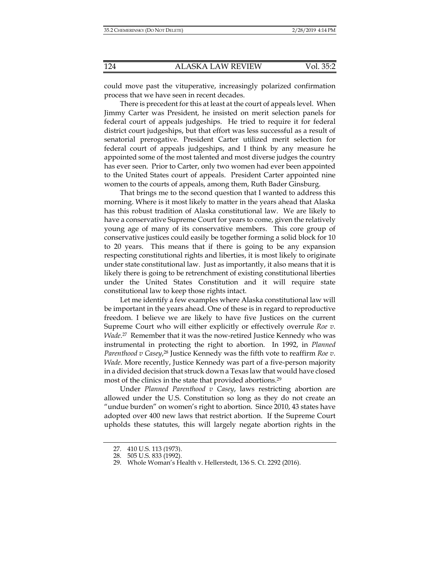could move past the vituperative, increasingly polarized confirmation process that we have seen in recent decades.

There is precedent for this at least at the court of appeals level. When Jimmy Carter was President, he insisted on merit selection panels for federal court of appeals judgeships. He tried to require it for federal district court judgeships, but that effort was less successful as a result of senatorial prerogative. President Carter utilized merit selection for federal court of appeals judgeships, and I think by any measure he appointed some of the most talented and most diverse judges the country has ever seen. Prior to Carter, only two women had ever been appointed to the United States court of appeals. President Carter appointed nine women to the courts of appeals, among them, Ruth Bader Ginsburg.

That brings me to the second question that I wanted to address this morning. Where is it most likely to matter in the years ahead that Alaska has this robust tradition of Alaska constitutional law. We are likely to have a conservative Supreme Court for years to come, given the relatively young age of many of its conservative members. This core group of conservative justices could easily be together forming a solid block for 10 to 20 years. This means that if there is going to be any expansion respecting constitutional rights and liberties, it is most likely to originate under state constitutional law. Just as importantly, it also means that it is likely there is going to be retrenchment of existing constitutional liberties under the United States Constitution and it will require state constitutional law to keep those rights intact.

Let me identify a few examples where Alaska constitutional law will be important in the years ahead. One of these is in regard to reproductive freedom. I believe we are likely to have five Justices on the current Supreme Court who will either explicitly or effectively overrule *Roe v. Wade*. 27 Remember that it was the now-retired Justice Kennedy who was instrumental in protecting the right to abortion. In 1992, in *Planned Parenthood v Casey*,<sup>28</sup> Justice Kennedy was the fifth vote to reaffirm *Roe v*. *Wade*. More recently, Justice Kennedy was part of a five-person majority in a divided decision that struck down a Texas law that would have closed most of the clinics in the state that provided abortions.29

Under *Planned Parenthood v Casey*, laws restricting abortion are allowed under the U.S. Constitution so long as they do not create an "undue burden" on women's right to abortion. Since 2010, 43 states have adopted over 400 new laws that restrict abortion. If the Supreme Court upholds these statutes, this will largely negate abortion rights in the

 <sup>27. 410</sup> U.S. 113 (1973).

 <sup>28. 505</sup> U.S. 833 (1992).

 <sup>29.</sup> Whole Woman's Health v. Hellerstedt, 136 S. Ct. 2292 (2016).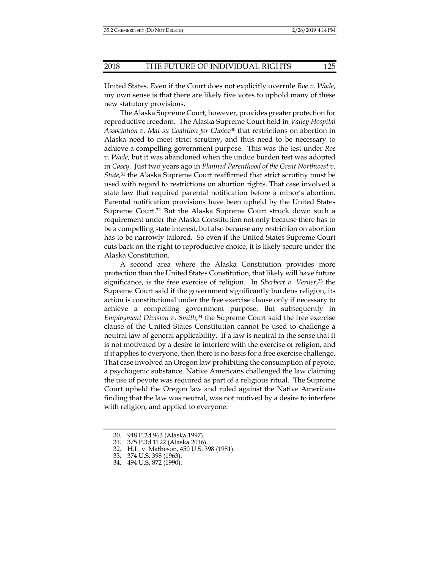United States. Even if the Court does not explicitly overrule *Roe v. Wade*, my own sense is that there are likely five votes to uphold many of these new statutory provisions.

The Alaska Supreme Court, however, provides greater protection for reproductive freedom. The Alaska Supreme Court held in *Valley Hospital Association v. Mat-su Coalition for Choice*<sup>30</sup> that restrictions on abortion in Alaska need to meet strict scrutiny, and thus need to be necessary to achieve a compelling government purpose. This was the test under *Roe v. Wade*, but it was abandoned when the undue burden test was adopted in *Casey.* Just two years ago in *Planned Parenthood of the Great Northwest v. State*, 31 the Alaska Supreme Court reaffirmed that strict scrutiny must be used with regard to restrictions on abortion rights. That case involved a state law that required parental notification before a minor's abortion. Parental notification provisions have been upheld by the United States Supreme Court.32 But the Alaska Supreme Court struck down such a requirement under the Alaska Constitution not only because there has to be a compelling state interest, but also because any restriction on abortion has to be narrowly tailored. So even if the United States Supreme Court cuts back on the right to reproductive choice, it is likely secure under the Alaska Constitution.

A second area where the Alaska Constitution provides more protection than the United States Constitution, that likely will have future significance, is the free exercise of religion. In *Sherbert v. Verner*,33 the Supreme Court said if the government significantly burdens religion, its action is constitutional under the free exercise clause only if necessary to achieve a compelling government purpose. But subsequently in *Employment Division v. Smith*, 34 the Supreme Court said the free exercise clause of the United States Constitution cannot be used to challenge a neutral law of general applicability. If a law is neutral in the sense that it is not motivated by a desire to interfere with the exercise of religion, and if it applies to everyone, then there is no basis for a free exercise challenge. That case involved an Oregon law prohibiting the consumption of peyote, a psychogenic substance. Native Americans challenged the law claiming the use of peyote was required as part of a religious ritual. The Supreme Court upheld the Oregon law and ruled against the Native Americans finding that the law was neutral, was not motived by a desire to interfere with religion, and applied to everyone.

 <sup>30. 948</sup> P.2d 963 (Alaska 1997).

 <sup>31. 375</sup> P.3d 1122 (Alaska 2016).

 <sup>32.</sup> H.L. v. Matheson, 450 U.S. 398 (1981).

 <sup>33. 374</sup> U.S. 398 (1963).

 <sup>34. 494</sup> U.S. 872 (1990).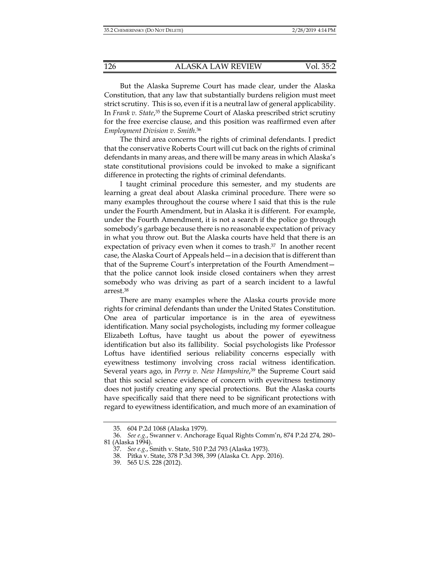But the Alaska Supreme Court has made clear, under the Alaska Constitution, that any law that substantially burdens religion must meet strict scrutiny. This is so, even if it is a neutral law of general applicability. In *Frank v. State*, 35 the Supreme Court of Alaska prescribed strict scrutiny for the free exercise clause, and this position was reaffirmed even after *Employment Division v. Smith*. 36

The third area concerns the rights of criminal defendants. I predict that the conservative Roberts Court will cut back on the rights of criminal defendants in many areas, and there will be many areas in which Alaska's state constitutional provisions could be invoked to make a significant difference in protecting the rights of criminal defendants.

I taught criminal procedure this semester, and my students are learning a great deal about Alaska criminal procedure. There were so many examples throughout the course where I said that this is the rule under the Fourth Amendment, but in Alaska it is different. For example, under the Fourth Amendment, it is not a search if the police go through somebody's garbage because there is no reasonable expectation of privacy in what you throw out. But the Alaska courts have held that there is an expectation of privacy even when it comes to trash.37 In another recent case, the Alaska Court of Appeals held—in a decision that is different than that of the Supreme Court's interpretation of the Fourth Amendment that the police cannot look inside closed containers when they arrest somebody who was driving as part of a search incident to a lawful arrest.38

There are many examples where the Alaska courts provide more rights for criminal defendants than under the United States Constitution. One area of particular importance is in the area of eyewitness identification. Many social psychologists, including my former colleague Elizabeth Loftus, have taught us about the power of eyewitness identification but also its fallibility. Social psychologists like Professor Loftus have identified serious reliability concerns especially with eyewitness testimony involving cross racial witness identification. Several years ago, in *Perry v. New Hampshire*, 39 the Supreme Court said that this social science evidence of concern with eyewitness testimony does not justify creating any special protections. But the Alaska courts have specifically said that there need to be significant protections with regard to eyewitness identification, and much more of an examination of

 <sup>35. 604</sup> P.2d 1068 (Alaska 1979).

 <sup>36.</sup> *See e.g.*, Swanner v. Anchorage Equal Rights Comm'n, 874 P.2d 274, 280– 81 (Alaska 1994).

 <sup>37.</sup> *See e.g.*, Smith v. State, 510 P.2d 793 (Alaska 1973).

 <sup>38.</sup> Pitka v. State, 378 P.3d 398, 399 (Alaska Ct. App. 2016).

 <sup>39. 565</sup> U.S. 228 (2012).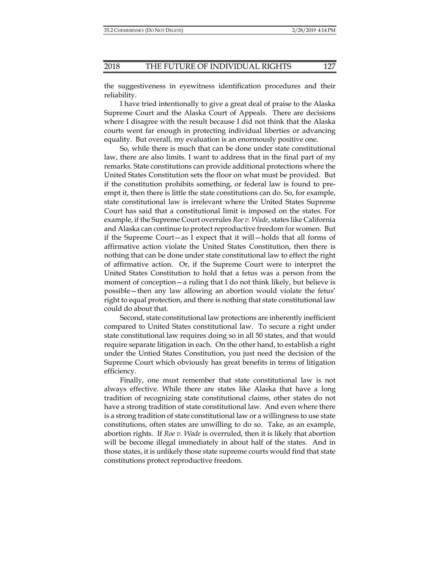the suggestiveness in eyewitness identification procedures and their reliability.

I have tried intentionally to give a great deal of praise to the Alaska Supreme Court and the Alaska Court of Appeals. There are decisions where I disagree with the result because I did not think that the Alaska courts went far enough in protecting individual liberties or advancing equality. But overall, my evaluation is an enormously positive one.

So, while there is much that can be done under state constitutional law, there are also limits. I want to address that in the final part of my remarks. State constitutions can provide additional protections where the United States Constitution sets the floor on what must be provided. But if the constitution prohibits something, or federal law is found to preempt it, then there is little the state constitutions can do. So, for example, state constitutional law is irrelevant where the United States Supreme Court has said that a constitutional limit is imposed on the states. For example, if the Supreme Court overrules *Roe v. Wade*, states like California and Alaska can continue to protect reproductive freedom for women. But if the Supreme Court—as I expect that it will—holds that all forms of affirmative action violate the United States Constitution, then there is nothing that can be done under state constitutional law to effect the right of affirmative action. Or, if the Supreme Court were to interpret the United States Constitution to hold that a fetus was a person from the moment of conception—a ruling that I do not think likely, but believe is possible—then any law allowing an abortion would violate the fetus' right to equal protection, and there is nothing that state constitutional law could do about that.

Second, state constitutional law protections are inherently inefficient compared to United States constitutional law. To secure a right under state constitutional law requires doing so in all 50 states, and that would require separate litigation in each. On the other hand, to establish a right under the Untied States Constitution, you just need the decision of the Supreme Court which obviously has great benefits in terms of litigation efficiency.

Finally, one must remember that state constitutional law is not always effective. While there are states like Alaska that have a long tradition of recognizing state constitutional claims, other states do not have a strong tradition of state constitutional law. And even where there is a strong tradition of state constitutional law or a willingness to use state constitutions, often states are unwilling to do so. Take, as an example, abortion rights. If *Roe v. Wade* is overruled, then it is likely that abortion will be become illegal immediately in about half of the states. And in those states, it is unlikely those state supreme courts would find that state constitutions protect reproductive freedom.